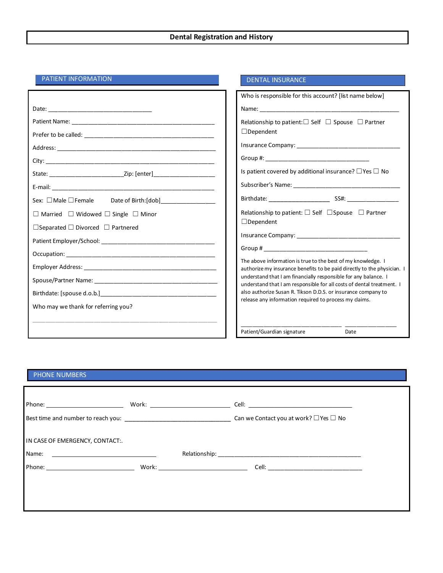#### **Dental Registration and History**

DENTAL INSURANCE

Date

#### PATIENT INFORMATION

|                                                                                  | Who is responsible for this account? [list name below]                                                                                   |
|----------------------------------------------------------------------------------|------------------------------------------------------------------------------------------------------------------------------------------|
|                                                                                  |                                                                                                                                          |
|                                                                                  | Relationship to patient: $\Box$ Self $\Box$ Spouse $\Box$ Partner                                                                        |
|                                                                                  | $\Box$ Dependent                                                                                                                         |
|                                                                                  |                                                                                                                                          |
|                                                                                  |                                                                                                                                          |
| State: __________________________________Zip: [enter]___________________________ | Is patient covered by additional insurance? $\Box$ Yes $\Box$ No                                                                         |
|                                                                                  |                                                                                                                                          |
| Sex: □Male □ Female Date of Birth:[dob] _______________                          |                                                                                                                                          |
| $\Box$ Married $\Box$ Widowed $\Box$ Single $\Box$ Minor                         | Relationship to patient: $\Box$ Self $\Box$ Spouse $\Box$ Partner                                                                        |
| $\Box$ Separated $\Box$ Divorced $\Box$ Partnered                                | $\Box$ Dependent                                                                                                                         |
|                                                                                  |                                                                                                                                          |
|                                                                                  |                                                                                                                                          |
|                                                                                  | The above information is true to the best of my knowledge. I<br>authorize my insurance benefits to be paid directly to the physician. I  |
|                                                                                  | understand that I am financially responsible for any balance. I<br>understand that I am responsible for all costs of dental treatment. I |
|                                                                                  | also authorize Susan R. Tikson D.D.S. or insurance company to                                                                            |
| Who may we thank for referring you?                                              | release any information required to process my claims.                                                                                   |
|                                                                                  | Patient/Guardian signature<br>Date                                                                                                       |

### PHONE NUMBERS

|                                                                                                                                 |  | Can we Contact you at work? $\Box$ Yes $\Box$ No |
|---------------------------------------------------------------------------------------------------------------------------------|--|--------------------------------------------------|
| IN CASE OF EMERGENCY, CONTACT:.                                                                                                 |  |                                                  |
| Name:<br><u> 1989 - John Stein, mars and de Branch and de Branch and de Branch and de Branch and de Branch and de Branch an</u> |  |                                                  |
|                                                                                                                                 |  |                                                  |
|                                                                                                                                 |  |                                                  |
|                                                                                                                                 |  |                                                  |
|                                                                                                                                 |  |                                                  |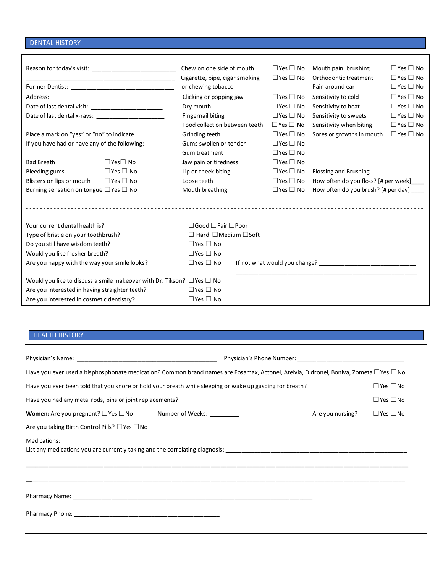#### DENTAL HISTORY

|                                                  | <u> 1989 - Johann John Stone, mars eta input eta input eta input eta input eta input eta input eta input eta inpu</u>                                                                                                          | Chew on one side of mouth<br>Cigarette, pipe, cigar smoking |  | $\Box$ Yes $\Box$ No<br>$\Box$ Yes $\Box$ No | Mouth pain, brushing<br>Orthodontic treatment                                                                                                                                                                                          | $\Box$ Yes $\Box$ No<br>$\Box$ Yes $\Box$ No |  |
|--------------------------------------------------|--------------------------------------------------------------------------------------------------------------------------------------------------------------------------------------------------------------------------------|-------------------------------------------------------------|--|----------------------------------------------|----------------------------------------------------------------------------------------------------------------------------------------------------------------------------------------------------------------------------------------|----------------------------------------------|--|
|                                                  | Former Dentist: The contract of the contract of the contract of the contract of the contract of the contract of the contract of the contract of the contract of the contract of the contract of the contract of the contract o | or chewing tobacco                                          |  |                                              | Pain around ear                                                                                                                                                                                                                        | $\Box$ Yes $\Box$ No                         |  |
|                                                  |                                                                                                                                                                                                                                | Clicking or popping jaw                                     |  | $\Box$ Yes $\Box$ No                         | $\Box$ Yes $\Box$ No<br>Sensitivity to cold                                                                                                                                                                                            |                                              |  |
|                                                  |                                                                                                                                                                                                                                | Dry mouth                                                   |  | $\Box$ Yes $\Box$ No                         | Sensitivity to heat<br>$\Box$ Yes $\Box$ No                                                                                                                                                                                            |                                              |  |
|                                                  |                                                                                                                                                                                                                                | <b>Fingernail biting</b>                                    |  | $\Box$ Yes $\Box$ No                         | $\Box$ Yes $\Box$ No<br>Sensitivity to sweets                                                                                                                                                                                          |                                              |  |
|                                                  |                                                                                                                                                                                                                                | Food collection between teeth                               |  | $\Box$ Yes $\Box$ No                         | Sensitivity when biting                                                                                                                                                                                                                | $\Box$ Yes $\Box$ No                         |  |
| Place a mark on "yes" or "no" to indicate        |                                                                                                                                                                                                                                | Grinding teeth                                              |  | $\Box$ Yes $\Box$ No                         | Sores or growths in mouth<br>$\Box$ Yes $\Box$ No                                                                                                                                                                                      |                                              |  |
| If you have had or have any of the following:    |                                                                                                                                                                                                                                | Gums swollen or tender                                      |  | $\Box$ Yes $\Box$ No                         |                                                                                                                                                                                                                                        |                                              |  |
|                                                  |                                                                                                                                                                                                                                | Gum treatment                                               |  | $\Box$ Yes $\Box$ No                         |                                                                                                                                                                                                                                        |                                              |  |
| <b>Bad Breath</b>                                | $\Box$ Yes $\Box$ No                                                                                                                                                                                                           | Jaw pain or tiredness                                       |  | $\Box$ Yes $\Box$ No                         |                                                                                                                                                                                                                                        |                                              |  |
| Bleeding gums                                    | $\Box$ Yes $\Box$ No                                                                                                                                                                                                           | Lip or cheek biting                                         |  | $\Box$ Yes $\Box$ No                         | Flossing and Brushing:                                                                                                                                                                                                                 |                                              |  |
| Blisters on lips or mouth                        | $\Box$ Yes $\Box$ No                                                                                                                                                                                                           | Loose teeth                                                 |  | $\Box$ Yes $\Box$ No                         | How often do you floss? [# per week]                                                                                                                                                                                                   |                                              |  |
| Burning sensation on tongue $\Box$ Yes $\Box$ No |                                                                                                                                                                                                                                | Mouth breathing                                             |  | $\Box$ Yes $\Box$ No                         | How often do you brush? [# per day] ____                                                                                                                                                                                               |                                              |  |
|                                                  |                                                                                                                                                                                                                                |                                                             |  |                                              |                                                                                                                                                                                                                                        |                                              |  |
| Your current dental health is?                   |                                                                                                                                                                                                                                | $\Box$ Good $\Box$ Fair $\Box$ Poor                         |  |                                              |                                                                                                                                                                                                                                        |                                              |  |
| Type of bristle on your toothbrush?              |                                                                                                                                                                                                                                | $\Box$ Hard $\Box$ Medium $\Box$ Soft                       |  |                                              |                                                                                                                                                                                                                                        |                                              |  |
| Do you still have wisdom teeth?                  |                                                                                                                                                                                                                                | $\Box$ Yes $\Box$ No                                        |  |                                              |                                                                                                                                                                                                                                        |                                              |  |
| Would you like fresher breath?                   |                                                                                                                                                                                                                                | $\Box$ Yes $\Box$ No                                        |  |                                              |                                                                                                                                                                                                                                        |                                              |  |
| Are you happy with the way your smile looks?     |                                                                                                                                                                                                                                | $\Box$ Yes $\Box$ No                                        |  |                                              | If not what would you change?<br><u> Letting and the contract of the set of the set of the set of the set of the set of the set of the set of the set of the set of the set of the set of the set of the set of the set of the set</u> |                                              |  |
|                                                  | Would you like to discuss a smile makeover with Dr. Tikson? $\Box$ Yes $\Box$ No                                                                                                                                               |                                                             |  |                                              |                                                                                                                                                                                                                                        |                                              |  |
| Are you interested in having straighter teeth?   |                                                                                                                                                                                                                                | $\Box$ Yes $\Box$ No                                        |  |                                              |                                                                                                                                                                                                                                        |                                              |  |
| Are you interested in cosmetic dentistry?        |                                                                                                                                                                                                                                | $\Box$ Yes $\Box$ No                                        |  |                                              |                                                                                                                                                                                                                                        |                                              |  |

## HEALTH HISTORY

| Have you ever used a bisphosphonate medication? Common brand names are Fosamax, Actonel, Atelvia, Didronel, Boniva, Zometa □Yes □ No |                  |                      |
|--------------------------------------------------------------------------------------------------------------------------------------|------------------|----------------------|
| Have you ever been told that you snore or hold your breath while sleeping or wake up gasping for breath?                             |                  | $\Box$ Yes $\Box$ No |
| Have you had any metal rods, pins or joint replacements?                                                                             |                  | $\Box$ Yes $\Box$ No |
| <b>Women:</b> Are you pregnant? $\Box$ Yes $\Box$ No Number of Weeks: $\_\_\_\_\_\_\_\_\_\_\_\_\_\_\_\_\_\_$                         | Are you nursing? | $\Box$ Yes $\Box$ No |
| Are you taking Birth Control Pills? $\Box$ Yes $\Box$ No                                                                             |                  |                      |
| Medications:                                                                                                                         |                  |                      |
|                                                                                                                                      |                  |                      |
|                                                                                                                                      |                  |                      |